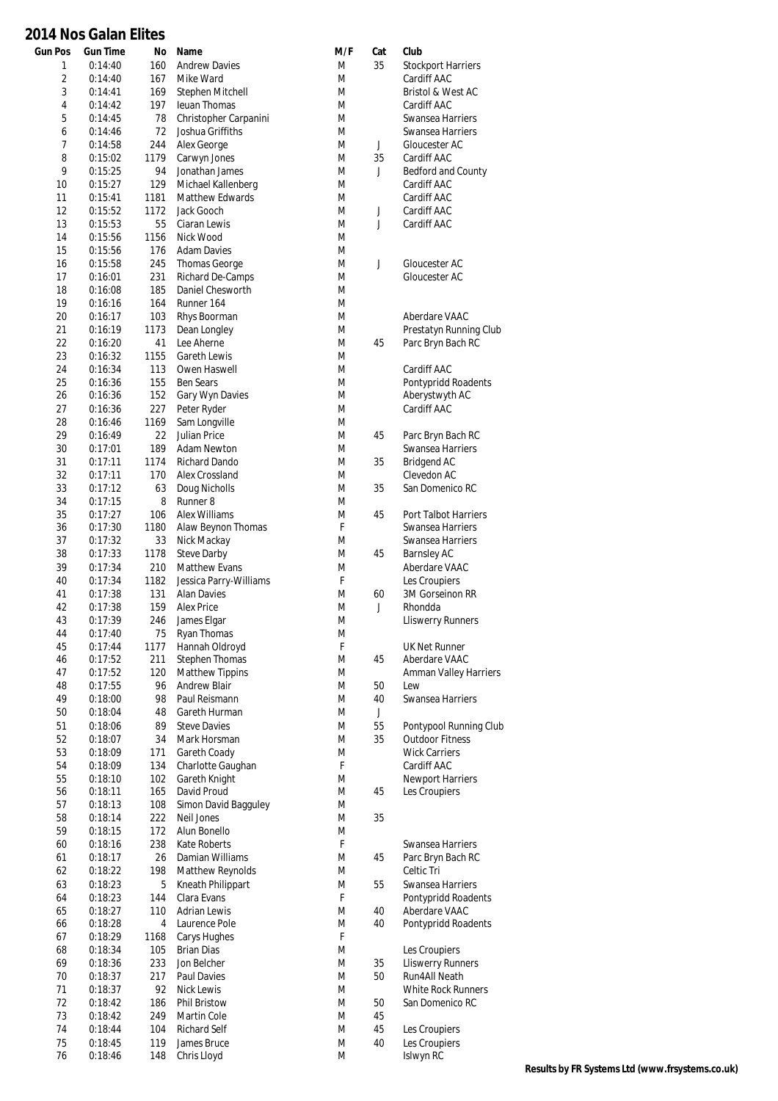## **2014 Nos Galan Elites**

| <b>Gun Pos</b> | <b>Gun Time</b>    | No   | Name                       | M/F | Cat | Club                         |
|----------------|--------------------|------|----------------------------|-----|-----|------------------------------|
| 1              | 0:14:40            | 160  | <b>Andrew Davies</b>       | M   | 35  | <b>Stockport Harriers</b>    |
| $\overline{2}$ | 0:14:40            | 167  | Mike Ward                  | M   |     | Cardiff AAC                  |
| 3              | 0:14:41            | 169  | Stephen Mitchell           | M   |     | Bristol & West AC            |
| 4              | 0:14:42            | 197  | <b>leuan Thomas</b>        | M   |     | Cardiff AAC                  |
| 5              | 0:14:45            | 78   | Christopher Carpanini      | M   |     | Swansea Harriers             |
| 6              | 0:14:46            | 72   | Joshua Griffiths           | M   |     | Swansea Harriers             |
| $\overline{7}$ | 0:14:58            | 244  | Alex George                | M   | J   | Gloucester AC                |
| 8              | 0:15:02            | 1179 | Carwyn Jones               | M   | 35  | Cardiff AAC                  |
| 9              | 0:15:25            | 94   | Jonathan James             | M   | J   | Bedford and County           |
| 10             | 0:15:27            | 129  | Michael Kallenberg         | M   |     | Cardiff AAC                  |
| 11             | 0:15:41            | 1181 | <b>Matthew Edwards</b>     | M   |     | Cardiff AAC                  |
| 12             | 0:15:52            | 1172 | Jack Gooch                 | M   | J   | Cardiff AAC                  |
| 13             | 0:15:53            | 55   | Ciaran Lewis               | M   | J   | Cardiff AAC                  |
| 14             | 0:15:56            | 1156 | Nick Wood                  | M   |     |                              |
| 15             | 0:15:56            | 176  | <b>Adam Davies</b>         | M   |     |                              |
| 16             | 0:15:58            | 245  | <b>Thomas George</b>       | M   | J   | Gloucester AC                |
| 17             |                    | 231  | Richard De-Camps           | M   |     | Gloucester AC                |
| 18             | 0:16:01            | 185  | Daniel Chesworth           | M   |     |                              |
|                | 0:16:08<br>0:16:16 |      | Runner 164                 | M   |     |                              |
| 19             |                    | 164  | Rhys Boorman               |     |     |                              |
| 20             | 0:16:17            | 103  |                            | M   |     | Aberdare VAAC                |
| 21             | 0:16:19            | 1173 | Dean Longley<br>Lee Aherne | M   |     | Prestatyn Running Club       |
| 22             | 0:16:20            | 41   |                            | M   | 45  | Parc Bryn Bach RC            |
| 23             | 0:16:32            | 1155 | <b>Gareth Lewis</b>        | M   |     |                              |
| 24             | 0:16:34            | 113  | Owen Haswell               | M   |     | Cardiff AAC                  |
| 25             | 0:16:36            | 155  | <b>Ben Sears</b>           | M   |     | Pontypridd Roadents          |
| 26             | 0:16:36            | 152  | Gary Wyn Davies            | M   |     | Aberystwyth AC               |
| 27             | 0:16:36            | 227  | Peter Ryder                | M   |     | Cardiff AAC                  |
| 28             | 0:16:46            | 1169 | Sam Longville              | M   |     |                              |
| 29             | 0:16:49            | 22   | Julian Price               | M   | 45  | Parc Bryn Bach RC            |
| 30             | 0:17:01            | 189  | <b>Adam Newton</b>         | M   |     | Swansea Harriers             |
| 31             | 0:17:11            | 1174 | <b>Richard Dando</b>       | M   | 35  | <b>Bridgend AC</b>           |
| 32             | 0:17:11            | 170  | Alex Crossland             | M   |     | Clevedon AC                  |
| 33             | 0:17:12            | 63   | Doug Nicholls              | M   | 35  | San Domenico RC              |
| 34             | 0:17:15            | 8    | Runner <sub>8</sub>        | M   |     |                              |
| 35             | 0:17:27            | 106  | Alex Williams              | M   | 45  | Port Talbot Harriers         |
| 36             | 0:17:30            | 1180 | Alaw Beynon Thomas         | F   |     | Swansea Harriers             |
| 37             | 0:17:32            | 33   | Nick Mackay                | M   |     | Swansea Harriers             |
| 38             | 0:17:33            | 1178 | <b>Steve Darby</b>         | M   | 45  | <b>Barnsley AC</b>           |
| 39             | 0:17:34            | 210  | <b>Matthew Evans</b>       | M   |     | Aberdare VAAC                |
| 40             | 0:17:34            | 1182 | Jessica Parry-Williams     | F   |     | Les Croupiers                |
| 41             | 0:17:38            | 131  | <b>Alan Davies</b>         | M   | 60  | 3M Gorseinon RR              |
| 42             | 0:17:38            | 159  | <b>Alex Price</b>          | M   | J   | Rhondda                      |
| 43             | 0:17:39            | 246  | James Elgar                | M   |     | <b>Lliswerry Runners</b>     |
| 44             | 0:17:40            | 75   | Ryan Thomas                | M   |     |                              |
| 45             | 0:17:44            | 1177 | Hannah Oldroyd             | F   |     | <b>UK Net Runner</b>         |
| 46             | 0:17:52            | 211  | <b>Stephen Thomas</b>      | M   | 45  | Aberdare VAAC                |
| 47             |                    | 120  | <b>Matthew Tippins</b>     | M   |     | <b>Amman Valley Harriers</b> |
|                | 0:17:52            | 96   | <b>Andrew Blair</b>        |     |     |                              |
| 48             | 0:17:55            |      |                            | M   | 50  | Lew                          |
| 49             | 0:18:00            | 98   | Paul Reismann              | M   | 40  | Swansea Harriers             |
| 50             | 0:18:04            | 48   | Gareth Hurman              | M   | J   |                              |
| 51             | 0:18:06            | 89   | <b>Steve Davies</b>        | M   | 55  | Pontypool Running Club       |
| 52             | 0:18:07            | 34   | Mark Horsman               | M   | 35  | <b>Outdoor Fitness</b>       |
| 53             | 0:18:09            | 171  | Gareth Coady               | M   |     | <b>Wick Carriers</b>         |
| 54             | 0:18:09            | 134  | Charlotte Gaughan          | F   |     | Cardiff AAC                  |
| 55             | 0:18:10            | 102  | Gareth Knight              | M   |     | Newport Harriers             |
| 56             | 0:18:11            | 165  | David Proud                | M   | 45  | Les Croupiers                |
| 57             | 0:18:13            | 108  | Simon David Bagguley       | M   |     |                              |
| 58             | 0:18:14            | 222  | Neil Jones                 | M   | 35  |                              |
| 59             | 0:18:15            | 172  | Alun Bonello               | M   |     |                              |
| 60             | 0:18:16            | 238  | <b>Kate Roberts</b>        | F   |     | Swansea Harriers             |
| 61             | 0:18:17            | 26   | Damian Williams            | M   | 45  | Parc Bryn Bach RC            |
| 62             | 0:18:22            | 198  | Matthew Reynolds           | M   |     | Celtic Tri                   |
| 63             | 0:18:23            | 5    | Kneath Philippart          | M   | 55  | Swansea Harriers             |
| 64             | 0:18:23            | 144  | Clara Evans                | F   |     | Pontypridd Roadents          |
| 65             | 0:18:27            | 110  | <b>Adrian Lewis</b>        | M   | 40  | Aberdare VAAC                |
| 66             | 0:18:28            | 4    | Laurence Pole              | M   | 40  | Pontypridd Roadents          |
| 67             | 0:18:29            | 1168 | Carys Hughes               | F   |     |                              |
| 68             | 0:18:34            | 105  | <b>Brian Dias</b>          | M   |     | Les Croupiers                |
| 69             | 0:18:36            | 233  | Jon Belcher                | M   | 35  | <b>Lliswerry Runners</b>     |
| 70             | 0:18:37            | 217  | Paul Davies                | M   | 50  | Run4All Neath                |
|                |                    | 92   |                            |     |     |                              |
| 71             | 0:18:37            |      | Nick Lewis                 | M   |     | <b>White Rock Runners</b>    |
| 72             | 0:18:42            | 186  | Phil Bristow               | M   | 50  | San Domenico RC              |
| 73             | 0:18:42            | 249  | Martin Cole                | M   | 45  |                              |
| 74             | 0:18:44            | 104  | <b>Richard Self</b>        | M   | 45  | Les Croupiers                |
| 75             | 0:18:45            | 119  | James Bruce                | M   | 40  | Les Croupiers                |
| 76             | 0:18:46            | 148  | Chris Lloyd                | M   |     | Islwyn RC                    |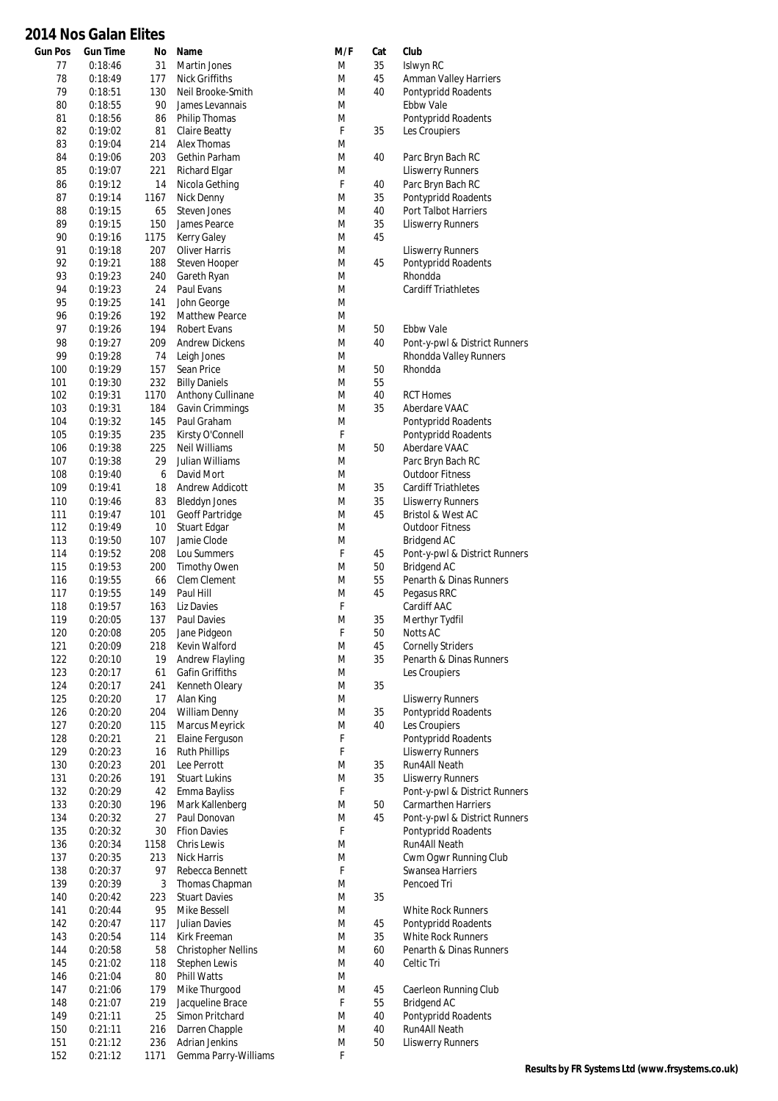## **2014 Nos Galan Elites**

| <b>Gun Pos</b> | <b>Gun Time</b>    | No         | Name                       | M/F | Cat | Club                          |
|----------------|--------------------|------------|----------------------------|-----|-----|-------------------------------|
| 77             | 0:18:46            | 31         | Martin Jones               | M   | 35  | Islwyn RC                     |
| 78             | 0:18:49            | 177        | Nick Griffiths             | M   | 45  | <b>Amman Valley Harriers</b>  |
| 79             | 0:18:51            | 130        | Neil Brooke-Smith          | M   | 40  | Pontypridd Roadents           |
| 80             | 0:18:55            | 90         | James Levannais            | M   |     | <b>Ebbw Vale</b>              |
| 81             | 0:18:56            | 86         | Philip Thomas              | M   |     | Pontypridd Roadents           |
| 82             | 0:19:02            | 81         | Claire Beatty              | F   | 35  | Les Croupiers                 |
| 83             | 0:19:04            | 214        | Alex Thomas                | M   |     |                               |
| 84             | 0:19:06            | 203        | Gethin Parham              | M   | 40  | Parc Bryn Bach RC             |
| 85             | 0:19:07            | 221        | Richard Elgar              | M   |     | <b>Lliswerry Runners</b>      |
| 86             | 0:19:12            | 14         | Nicola Gething             | F   | 40  | Parc Bryn Bach RC             |
| 87             | 0:19:14            | 1167       | Nick Denny                 | M   | 35  | Pontypridd Roadents           |
| 88             | 0:19:15            | 65         | Steven Jones               | M   | 40  | Port Talbot Harriers          |
| 89             | 0:19:15            | 150        | James Pearce               | M   | 35  | <b>Lliswerry Runners</b>      |
| 90             | 0:19:16            | 1175       | <b>Kerry Galey</b>         | M   | 45  |                               |
| 91             | 0:19:18            | 207        | <b>Oliver Harris</b>       | M   |     | <b>Lliswerry Runners</b>      |
| 92             | 0:19:21            | 188        | Steven Hooper              | M   | 45  | Pontypridd Roadents           |
| 93             | 0:19:23            | 240        | Gareth Ryan                | M   |     | Rhondda                       |
| 94             | 0:19:23            | 24         | Paul Evans                 | M   |     | <b>Cardiff Triathletes</b>    |
| 95             | 0:19:25            | 141        | John George                | M   |     |                               |
|                |                    |            | <b>Matthew Pearce</b>      | M   |     |                               |
| 96<br>97       | 0:19:26<br>0:19:26 | 192<br>194 | Robert Evans               | M   | 50  | <b>Ebbw Vale</b>              |
|                |                    |            |                            |     |     |                               |
| 98             | 0:19:27            | 209        | <b>Andrew Dickens</b>      | M   | 40  | Pont-y-pwl & District Runners |
| 99             | 0:19:28            | 74         | Leigh Jones                | M   |     | Rhondda Valley Runners        |
| 100            | 0:19:29            | 157        | Sean Price                 | M   | 50  | Rhondda                       |
| 101            | 0:19:30            | 232        | <b>Billy Daniels</b>       | M   | 55  |                               |
| 102            | 0:19:31            | 1170       | Anthony Cullinane          | M   | 40  | <b>RCT Homes</b>              |
| 103            | 0:19:31            | 184        | Gavin Crimmings            | M   | 35  | Aberdare VAAC                 |
| 104            | 0:19:32            | 145        | Paul Graham                | M   |     | Pontypridd Roadents           |
| 105            | 0:19:35            | 235        | Kirsty O'Connell           | F   |     | Pontypridd Roadents           |
| 106            | 0:19:38            | 225        | <b>Neil Williams</b>       | M   | 50  | Aberdare VAAC                 |
| 107            | 0:19:38            | 29         | Julian Williams            | M   |     | Parc Bryn Bach RC             |
| 108            | 0:19:40            | 6          | David Mort                 | M   |     | <b>Outdoor Fitness</b>        |
| 109            | 0:19:41            | 18         | Andrew Addicott            | M   | 35  | <b>Cardiff Triathletes</b>    |
| 110            | 0:19:46            | 83         | <b>Bleddyn Jones</b>       | M   | 35  | <b>Lliswerry Runners</b>      |
| 111            | 0:19:47            | 101        | Geoff Partridge            | M   | 45  | Bristol & West AC             |
| 112            | 0:19:49            | 10         | Stuart Edgar               | M   |     | <b>Outdoor Fitness</b>        |
| 113            | 0:19:50            | 107        | Jamie Clode                | M   |     | Bridgend AC                   |
| 114            | 0:19:52            | 208        | Lou Summers                | F   | 45  | Pont-y-pwl & District Runners |
| 115            | 0:19:53            | 200        | <b>Timothy Owen</b>        | M   | 50  | <b>Bridgend AC</b>            |
| 116            | 0:19:55            | 66         | Clem Clement               | M   | 55  | Penarth & Dinas Runners       |
| 117            | 0:19:55            | 149        | Paul Hill                  | M   | 45  | Pegasus RRC                   |
| 118            | 0:19:57            | 163        | Liz Davies                 | F   |     | Cardiff AAC                   |
| 119            | 0:20:05            | 137        | Paul Davies                | M   | 35  | Merthyr Tydfil                |
| 120            | 0:20:08            | 205        | Jane Pidgeon               | F   | 50  | Notts AC                      |
| 121            | 0:20:09            | 218        | Kevin Walford              | M   | 45  | <b>Cornelly Striders</b>      |
| 122            | 0:20:10            | 19         | Andrew Flayling            | M   | 35  | Penarth & Dinas Runners       |
| 123            | 0:20:17            | 61         | Gafin Griffiths            | M   |     | Les Croupiers                 |
| 124            | 0:20:17            | 241        | Kenneth Oleary             | M   | 35  |                               |
| 125            | 0:20:20            | 17         | Alan King                  | M   |     | <b>Lliswerry Runners</b>      |
| 126            | 0:20:20            | 204        | William Denny              | M   | 35  | Pontypridd Roadents           |
| 127            | 0:20:20            | 115        | Marcus Meyrick             | M   | 40  | Les Croupiers                 |
| 128            | 0:20:21            | 21         | Elaine Ferguson            | F   |     | Pontypridd Roadents           |
| 129            | 0:20:23            | 16         | <b>Ruth Phillips</b>       | F   |     | <b>Lliswerry Runners</b>      |
| 130            | 0:20:23            | 201        | Lee Perrott                | M   | 35  | Run4All Neath                 |
| 131            | 0:20:26            | 191        | <b>Stuart Lukins</b>       | M   | 35  | <b>Lliswerry Runners</b>      |
| 132            | 0:20:29            | 42         | Emma Bayliss               | F   |     | Pont-y-pwl & District Runners |
| 133            | 0:20:30            | 196        | Mark Kallenberg            | M   | 50  | <b>Carmarthen Harriers</b>    |
| 134            | 0:20:32            | 27         | Paul Donovan               | M   | 45  | Pont-y-pwl & District Runners |
| 135            | 0:20:32            | 30         | <b>Ffion Davies</b>        | F   |     | Pontypridd Roadents           |
| 136            | 0:20:34            | 1158       | Chris Lewis                | M   |     | Run4All Neath                 |
| 137            | 0:20:35            | 213        | Nick Harris                | M   |     | Cwm Ogwr Running Club         |
| 138            | 0:20:37            | 97         | Rebecca Bennett            | F   |     | Swansea Harriers              |
| 139            | 0:20:39            | 3          | Thomas Chapman             | M   |     | Pencoed Tri                   |
| 140            | 0:20:42            | 223        | <b>Stuart Davies</b>       | M   | 35  |                               |
| 141            | 0:20:44            | 95         | Mike Bessell               | M   |     | <b>White Rock Runners</b>     |
| 142            | 0:20:47            | 117        | Julian Davies              | M   | 45  | Pontypridd Roadents           |
| 143            | 0:20:54            | 114        | Kirk Freeman               | M   | 35  | <b>White Rock Runners</b>     |
| 144            | 0:20:58            | 58         | <b>Christopher Nellins</b> | M   | 60  | Penarth & Dinas Runners       |
| 145            | 0:21:02            | 118        | <b>Stephen Lewis</b>       | M   | 40  | Celtic Tri                    |
| 146            | 0:21:04            | 80         | Phill Watts                | M   |     |                               |
|                |                    |            |                            |     |     |                               |
| 147            | 0:21:06            | 179        | Mike Thurgood              | M   | 45  | Caerleon Running Club         |
| 148            | 0:21:07            | 219        | Jacqueline Brace           | F   | 55  | <b>Bridgend AC</b>            |
| 149            | 0:21:11            | 25         | Simon Pritchard            | M   | 40  | Pontypridd Roadents           |
| 150            | 0:21:11            | 216        | Darren Chapple             | M   | 40  | Run4All Neath                 |
| 151            | 0:21:12            | 236        | <b>Adrian Jenkins</b>      | M   | 50  | <b>Lliswerry Runners</b>      |
| 152            | 0:21:12            | 1171       | Gemma Parry-Williams       | F   |     |                               |